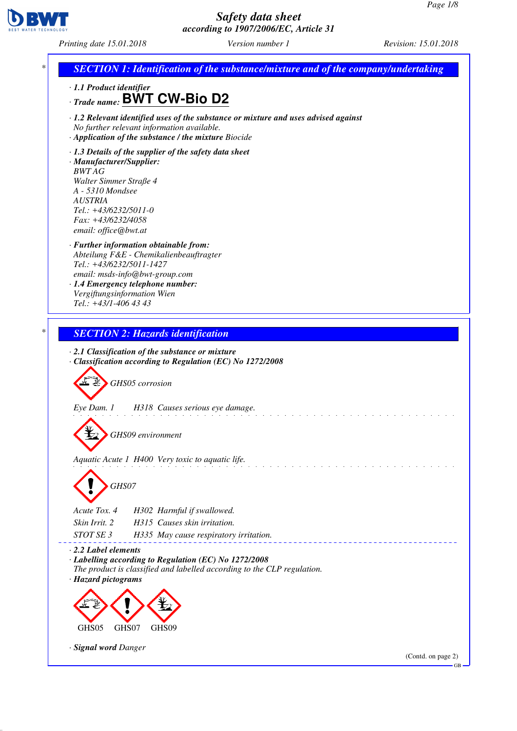GB



# *Safety data sheet according to 1907/2006/EC, Article 31*

*Printing date 15.01.2018 Version number 1 Revision: 15.01.2018*

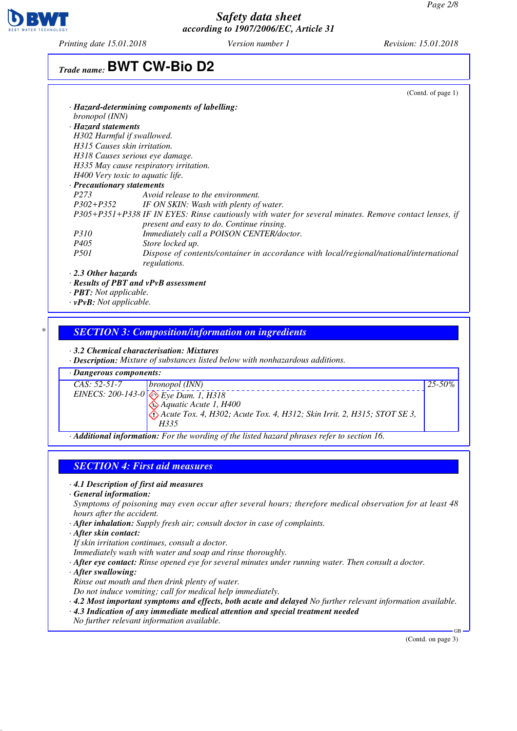

*Printing date 15.01.2018 Version number 1 Revision: 15.01.2018*

# *Trade name:* **BWT CW-Bio D2**

|                                      | (Contd. of page $1$ )                                                                                 |
|--------------------------------------|-------------------------------------------------------------------------------------------------------|
|                                      | · Hazard-determining components of labelling:                                                         |
| <i>bronopol</i> (INN)                |                                                                                                       |
| · Hazard statements                  |                                                                                                       |
| H302 Harmful if swallowed.           |                                                                                                       |
| H315 Causes skin irritation.         |                                                                                                       |
|                                      | H318 Causes serious eye damage.                                                                       |
|                                      | H335 May cause respiratory irritation.                                                                |
|                                      | H400 Very toxic to aquatic life.                                                                      |
| · Precautionary statements           |                                                                                                       |
| P <sub>273</sub>                     | Avoid release to the environment.                                                                     |
|                                      | P302+P352 IF ON SKIN: Wash with plenty of water.                                                      |
|                                      | P305+P351+P338 IF IN EYES: Rinse cautiously with water for several minutes. Remove contact lenses, if |
|                                      | present and easy to do. Continue rinsing.                                                             |
| <i>P310</i>                          | Immediately call a POISON CENTER/doctor.                                                              |
| <i>P405</i>                          | Store locked up.                                                                                      |
| <i>P501</i>                          | Dispose of contents/container in accordance with local/regional/national/international                |
|                                      | regulations.                                                                                          |
| $\cdot$ 2.3 Other hazards            |                                                                                                       |
|                                      | $\cdot$ Results of PBT and $vPvB$ assessment                                                          |
| $\cdot$ <b>PBT</b> : Not applicable. |                                                                                                       |

*· vPvB: Not applicable.*

### *\* SECTION 3: Composition/information on ingredients*

#### *· 3.2 Chemical characterisation: Mixtures*

*· Description: Mixture of substances listed below with nonhazardous additions.*



### *SECTION 4: First aid measures*

- *· 4.1 Description of first aid measures*
- *· General information:*

*Symptoms of poisoning may even occur after several hours; therefore medical observation for at least 48 hours after the accident.*

- *· After inhalation: Supply fresh air; consult doctor in case of complaints.*
- *· After skin contact:*
- *If skin irritation continues, consult a doctor.*
- *Immediately wash with water and soap and rinse thoroughly.*
- *· After eye contact: Rinse opened eye for several minutes under running water. Then consult a doctor.*
- *· After swallowing:*
- *Rinse out mouth and then drink plenty of water.*
- *Do not induce vomiting; call for medical help immediately.*
- *· 4.2 Most important symptoms and effects, both acute and delayed No further relevant information available.*
- *· 4.3 Indication of any immediate medical attention and special treatment needed No further relevant information available.*

(Contd. on page 3)

GB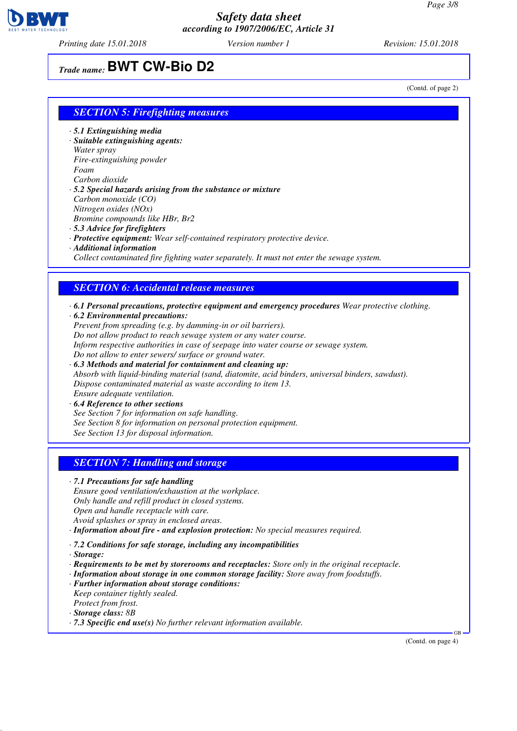

*Printing date 15.01.2018 Version number 1 Revision: 15.01.2018*

# *Trade name:* **BWT CW-Bio D2**

(Contd. of page 2)

#### *SECTION 5: Firefighting measures*

- *· 5.1 Extinguishing media*
- *· Suitable extinguishing agents: Water spray Fire-extinguishing powder Foam Carbon dioxide*
- *· 5.2 Special hazards arising from the substance or mixture Carbon monoxide (CO) Nitrogen oxides (NOx) Bromine compounds like HBr, Br2 · 5.3 Advice for firefighters*
- 
- *· Protective equipment: Wear self-contained respiratory protective device.*
- *· Additional information*

*Collect contaminated fire fighting water separately. It must not enter the sewage system.*

#### *SECTION 6: Accidental release measures*

- *· 6.1 Personal precautions, protective equipment and emergency procedures Wear protective clothing.*
- *· 6.2 Environmental precautions:*
- *Prevent from spreading (e.g. by damming-in or oil barriers). Do not allow product to reach sewage system or any water course. Inform respective authorities in case of seepage into water course or sewage system. Do not allow to enter sewers/ surface or ground water.*
- *· 6.3 Methods and material for containment and cleaning up: Absorb with liquid-binding material (sand, diatomite, acid binders, universal binders, sawdust). Dispose contaminated material as waste according to item 13. Ensure adequate ventilation.*
- *· 6.4 Reference to other sections See Section 7 for information on safe handling.*
- *See Section 8 for information on personal protection equipment.*
- *See Section 13 for disposal information.*

### *SECTION 7: Handling and storage*

- *· 7.1 Precautions for safe handling*
- *Ensure good ventilation/exhaustion at the workplace. Only handle and refill product in closed systems. Open and handle receptacle with care. Avoid splashes or spray in enclosed areas.*
- *· Information about fire and explosion protection: No special measures required.*
- *· 7.2 Conditions for safe storage, including any incompatibilities*
- *· Storage:*
- *· Requirements to be met by storerooms and receptacles: Store only in the original receptacle.*
- *· Information about storage in one common storage facility: Store away from foodstuffs.*
- *· Further information about storage conditions: Keep container tightly sealed. Protect from frost.*
- *· Storage class: 8B*
- *· 7.3 Specific end use(s) No further relevant information available.*

(Contd. on page 4)

GB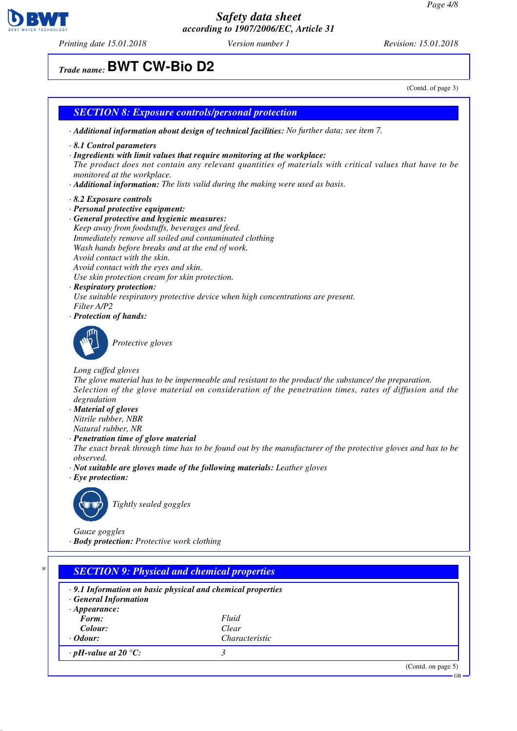*Printing date 15.01.2018 Version number 1 Revision: 15.01.2018*

*Trade name:* **BWT CW-Bio D2**

(Contd. of page 3) *· Additional information about design of technical facilities: No further data; see item 7.*

- *· 8.1 Control parameters*
- *· Ingredients with limit values that require monitoring at the workplace:*

*SECTION 8: Exposure controls/personal protection*

*The product does not contain any relevant quantities of materials with critical values that have to be monitored at the workplace.*

- *· Additional information: The lists valid during the making were used as basis.*
- *· 8.2 Exposure controls*
- *· Personal protective equipment:*
- *· General protective and hygienic measures: Keep away from foodstuffs, beverages and feed. Immediately remove all soiled and contaminated clothing Wash hands before breaks and at the end of work. Avoid contact with the skin. Avoid contact with the eyes and skin. Use skin protection cream for skin protection.*
- *· Respiratory protection:*

*Use suitable respiratory protective device when high concentrations are present. Filter A/P2*

*· Protection of hands:*



*Protective gloves*

*Long cuffed gloves*

*The glove material has to be impermeable and resistant to the product/ the substance/ the preparation. Selection of the glove material on consideration of the penetration times, rates of diffusion and the degradation*

- *· Material of gloves Nitrile rubber, NBR Natural rubber, NR*
- *· Penetration time of glove material*

*The exact break through time has to be found out by the manufacturer of the protective gloves and has to be observed.*

- *· Not suitable are gloves made of the following materials: Leather gloves*
- *· Eye protection:*



*Tightly sealed goggles*

*Gauze goggles · Body protection: Protective work clothing*

# *\* SECTION 9: Physical and chemical properties*

| $\cdot$ 9.1 Information on basic physical and chemical properties<br><b>General Information</b> |                       |                      |  |  |  |
|-------------------------------------------------------------------------------------------------|-----------------------|----------------------|--|--|--|
| $\cdot$ Appearance:                                                                             |                       |                      |  |  |  |
| Form:                                                                                           | Fluid                 |                      |  |  |  |
| Colour:                                                                                         | Clear                 |                      |  |  |  |
| $\cdot$ Odour:                                                                                  | <i>Characteristic</i> |                      |  |  |  |
| $\cdot$ pH-value at 20 $\degree$ C:                                                             |                       |                      |  |  |  |
|                                                                                                 |                       | $(Contd)$ on page 5) |  |  |  |

GB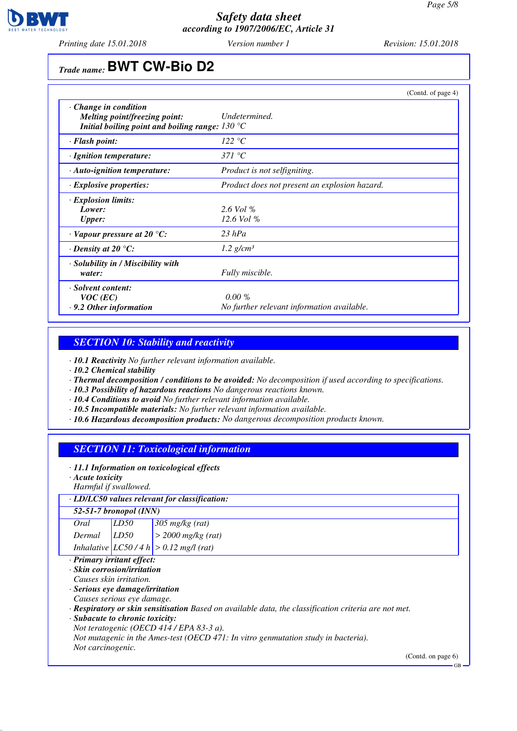

*Printing date 15.01.2018 Version number 1 Revision: 15.01.2018*

# *Trade name:* **BWT CW-Bio D2**

|                                                                                                                          |                                                         | (Contd. of page 4) |
|--------------------------------------------------------------------------------------------------------------------------|---------------------------------------------------------|--------------------|
| $\cdot$ Change in condition<br>Melting point/freezing point:<br>Initial boiling point and boiling range: $130^{\circ}$ C | Undetermined.                                           |                    |
| · Flash point:                                                                                                           | 122 °C                                                  |                    |
| · Ignition temperature:                                                                                                  | 371 °C                                                  |                    |
| $\cdot$ Auto-ignition temperature:                                                                                       | <i>Product is not selfigniting.</i>                     |                    |
| $\cdot$ Explosive properties:                                                                                            | Product does not present an explosion hazard.           |                    |
| · Explosion limits:<br>Lower:<br><b>Upper:</b>                                                                           | $2.6$ Vol %<br>$12.6$ Vol %                             |                    |
| $\cdot$ Vapour pressure at 20 °C:                                                                                        | $23$ hPa                                                |                    |
| $\cdot$ Density at 20 °C:                                                                                                | $1.2$ g/cm <sup>3</sup>                                 |                    |
| · Solubility in / Miscibility with<br>water:                                                                             | Fully miscible.                                         |                    |
| · Solvent content:<br>$VOC$ (EC)<br>$\cdot$ 9.2 Other information                                                        | $0.00 \%$<br>No further relevant information available. |                    |

## *SECTION 10: Stability and reactivity*

*· 10.1 Reactivity No further relevant information available.*

*· 10.2 Chemical stability*

*· Thermal decomposition / conditions to be avoided: No decomposition if used according to specifications.*

- *· 10.3 Possibility of hazardous reactions No dangerous reactions known.*
- *· 10.4 Conditions to avoid No further relevant information available.*
- *· 10.5 Incompatible materials: No further relevant information available.*
- *· 10.6 Hazardous decomposition products: No dangerous decomposition products known.*

### *SECTION 11: Toxicological information*

- *· 11.1 Information on toxicological effects*
- *· Acute toxicity*

*Harmful if swallowed.*

#### *· LD/LC50 values relevant for classification:*

| $52-51-7$ bronopol (INN) |  |  |  |  |
|--------------------------|--|--|--|--|
|                          |  |  |  |  |
|                          |  |  |  |  |
|                          |  |  |  |  |

*· Primary irritant effect:*

*· Skin corrosion/irritation*

*Causes skin irritation.*

*· Serious eye damage/irritation*

*Causes serious eye damage.*

*· Respiratory or skin sensitisation Based on available data, the classification criteria are not met.*

*· Subacute to chronic toxicity:*

*Not teratogenic (OECD 414 / EPA 83-3 a).*

*Not mutagenic in the Ames-test (OECD 471: In vitro genmutation study in bacteria). Not carcinogenic.*

(Contd. on page 6)

GB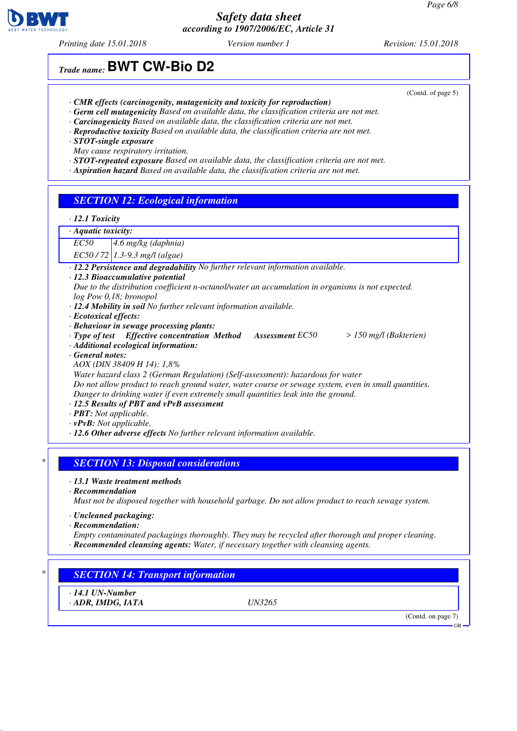*Printing date 15.01.2018 Version number 1 Revision: 15.01.2018*

# *Trade name:* **BWT CW-Bio D2**

- *· CMR effects (carcinogenity, mutagenicity and toxicity for reproduction)*
- *· Germ cell mutagenicity Based on available data, the classification criteria are not met.*
- *· Carcinogenicity Based on available data, the classification criteria are not met.*
- *· Reproductive toxicity Based on available data, the classification criteria are not met.*
- *· STOT-single exposure*
- *May cause respiratory irritation.*
- *· STOT-repeated exposure Based on available data, the classification criteria are not met.*
- *· Aspiration hazard Based on available data, the classification criteria are not met.*

### *SECTION 12: Ecological information*

#### *· 12.1 Toxicity*

#### *· Aquatic toxicity:*

*EC50 4.6 mg/kg (daphnia)*

*EC50 / 72 1.3-9.3 mg/l (algae)*

- *· 12.2 Persistence and degradability No further relevant information available.*
- *· 12.3 Bioaccumulative potential*
- *Due to the distribution coefficient n-octanol/water an accumulation in organisms is not expected. log Pow 0,18; bronopol*
- *· 12.4 Mobility in soil No further relevant information available.*
- *· Ecotoxical effects:*
- *· Behaviour in sewage processing plants:*
- *· Type of test Effective concentration Method Assessment EC50 > 150 mg/l (Bakterien)*
- *· Additional ecological information:*
- *· General notes:*
- *AOX (DIN 38409 H 14): 1,8%*
- *Water hazard class 2 (German Regulation) (Self-assessment): hazardous for water*

*Do not allow product to reach ground water, water course or sewage system, even in small quantities. Danger to drinking water if even extremely small quantities leak into the ground.*

- *· 12.5 Results of PBT and vPvB assessment*
- *· PBT: Not applicable.*
- *· vPvB: Not applicable.*
- *· 12.6 Other adverse effects No further relevant information available.*

#### *\* SECTION 13: Disposal considerations*

- *· 13.1 Waste treatment methods*
- *· Recommendation*
- *Must not be disposed together with household garbage. Do not allow product to reach sewage system.*
- *· Uncleaned packaging:*
- *· Recommendation:*
- *Empty contaminated packagings thoroughly. They may be recycled after thorough and proper cleaning. · Recommended cleansing agents: Water, if necessary together with cleansing agents.*

# *\* SECTION 14: Transport information*

*· 14.1 UN-Number · ADR, IMDG, IATA UN3265*

(Contd. on page 7)

GB



(Contd. of page 5)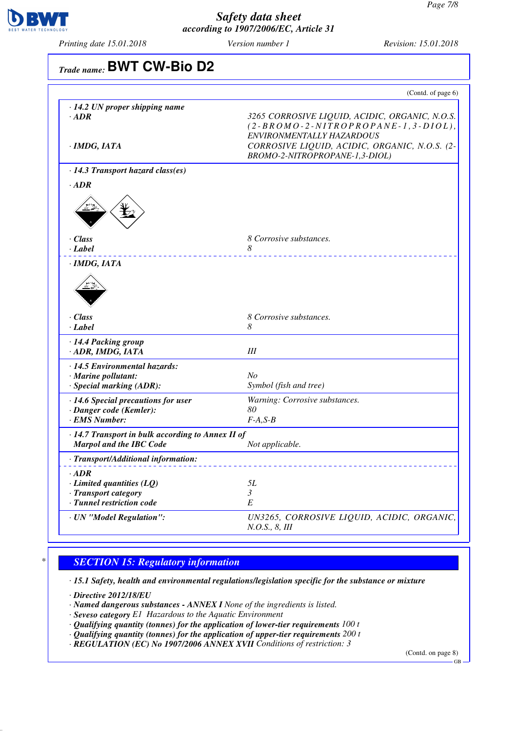

*Printing date 15.01.2018 Version number 1 Revision: 15.01.2018*

| Trade name: BWT CW-Bio D2                                                                           |                                                                                                                                                                       |
|-----------------------------------------------------------------------------------------------------|-----------------------------------------------------------------------------------------------------------------------------------------------------------------------|
|                                                                                                     | (Contd. of page 6)                                                                                                                                                    |
| · 14.2 UN proper shipping name<br>$\cdot$ ADR<br>$\cdot$ IMDG, IATA                                 | 3265 CORROSIVE LIQUID, ACIDIC, ORGANIC, N.O.S.<br>$(2-BROMO-2-NITROPROPANE-1, 3-DIOL),$<br>ENVIRONMENTALLY HAZARDOUS<br>CORROSIVE LIQUID, ACIDIC, ORGANIC, N.O.S. (2- |
|                                                                                                     | BROMO-2-NITROPROPANE-1,3-DIOL)                                                                                                                                        |
| $\cdot$ 14.3 Transport hazard class(es)                                                             |                                                                                                                                                                       |
| $\cdot$ ADR                                                                                         |                                                                                                                                                                       |
| $\cdot$ Class<br>· Label                                                                            | 8 Corrosive substances.<br>8                                                                                                                                          |
| $\cdot$ Class                                                                                       | 8 Corrosive substances.                                                                                                                                               |
| $\cdot$ Label                                                                                       | 8                                                                                                                                                                     |
| · 14.4 Packing group<br>· ADR, IMDG, IATA                                                           | III                                                                                                                                                                   |
| · 14.5 Environmental hazards:<br>· Marine pollutant:<br>· Special marking (ADR):                    | N <sub>O</sub><br>Symbol (fish and tree)                                                                                                                              |
| · 14.6 Special precautions for user<br>· Danger code (Kemler):<br>· EMS Number:                     | Warning: Corrosive substances.<br>80<br>$F-A, S-B$                                                                                                                    |
| · 14.7 Transport in bulk according to Annex II of<br><b>Marpol and the IBC Code</b>                 | Not applicable.                                                                                                                                                       |
| · Transport/Additional information:                                                                 |                                                                                                                                                                       |
| $\cdot$ ADR<br>$\cdot$ Limited quantities (LQ)<br>· Transport category<br>· Tunnel restriction code | 5L<br>3<br>$\cal E$                                                                                                                                                   |
| · UN "Model Regulation":                                                                            | UN3265, CORROSIVE LIQUID, ACIDIC, ORGANIC,<br>N.O.S., 8, III                                                                                                          |

# *\* SECTION 15: Regulatory information*

*· 15.1 Safety, health and environmental regulations/legislation specific for the substance or mixture*

*· Directive 2012/18/EU*

- *· Named dangerous substances ANNEX I None of the ingredients is listed.*
- *· Seveso category E1 Hazardous to the Aquatic Environment*
- *· Qualifying quantity (tonnes) for the application of lower-tier requirements 100 t*
- *· Qualifying quantity (tonnes) for the application of upper-tier requirements 200 t*
- *· REGULATION (EC) No 1907/2006 ANNEX XVII Conditions of restriction: 3*

(Contd. on page 8)

GB